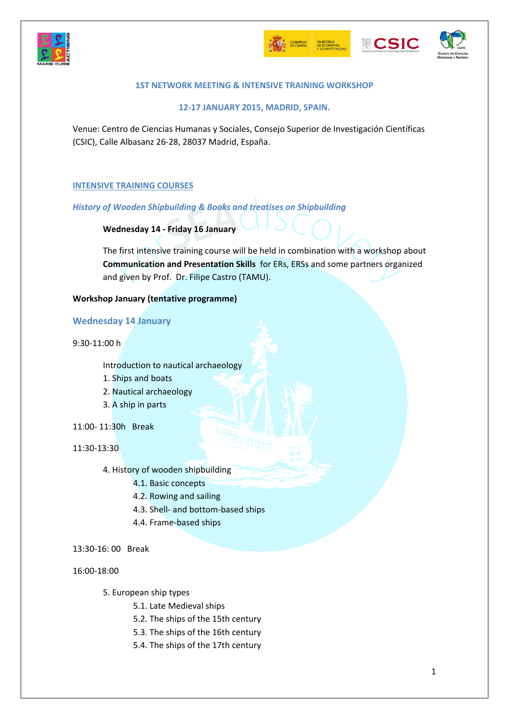







# **1ST NETWORK MEETING & INTENSIVE TRAINING WORKSHOP**

**12‐17 JANUARY 2015, MADRID, SPAIN.**

Venue: Centro de Ciencias Humanas y Sociales, Consejo Superior de Investigación Científicas (CSIC), Calle Albasanz 26‐28, 28037 Madrid, España.

## **INTENSIVE TRAINING COURSES**

*History of Wooden Shipbuilding & Books and treatises on Shipbuilding*

**Wednesday 14 ‐ Friday 16 January**

The first intensive training course will be held in combination with a workshop about **Communication and Presentation Skills** for ERs, ERSs and some partners organized and given by Prof. Dr. Filipe Castro (TAMU).

## **Workshop January (tentative programme)**

**Wednesday 14 January**

9:30‐11:00 h

Introduction to nautical archaeology

- 1. Ships and boats
- 2. Nautical archaeology
- 3. A ship in parts
- 11:00‐ 11:30h Break

11:30‐13:30

- 4. History of wooden shipbuilding
	- 4.1. Basic concepts
	- 4.2. Rowing and sailing
	- 4.3. Shell‐ and bottom‐based ships
	- 4.4. Frame‐based ships
- 13:30‐16: 00 Break

16:00‐18:00

- 5. European ship types
	- 5.1. Late Medieval ships
	- 5.2. The ships of the 15th century
	- 5.3. The ships of the 16th century
	- 5.4. The ships of the 17th century